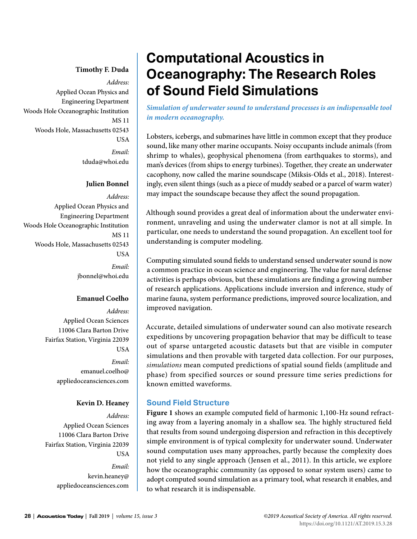## **Timothy F. Duda**

*Address:* Applied Ocean Physics and Engineering Department Woods Hole Oceanographic Institution MS 11 Woods Hole, Massachusetts 02543 **USA** 

*Email:* tduda@whoi.edu

## **Julien Bonnel**

*Address:* Applied Ocean Physics and Engineering Department Woods Hole Oceanographic Institution MS 11 Woods Hole, Massachusetts 02543 **USA** *Email:* jbonnel@whoi.edu

#### **Emanuel Coelho**

*Address:* Applied Ocean Sciences 11006 Clara Barton Drive Fairfax Station, Virginia 22039 USA *Email:* emanuel.coelho@ appliedoceansciences.com

#### **Kevin D. Heaney**

*Address:* Applied Ocean Sciences 11006 Clara Barton Drive Fairfax Station, Virginia 22039 USA

> *Email:* kevin.heaney@ appliedoceansciences.com

# **Computational Acoustics in Oceanography: The Research Roles of Sound Field Simulations**

*Simulation of underwater sound to understand processes is an indispensable tool in modern oceanography.*

Lobsters, icebergs, and submarines have little in common except that they produce sound, like many other marine occupants. Noisy occupants include animals (from shrimp to whales), geophysical phenomena (from earthquakes to storms), and man's devices (from ships to energy turbines). Together, they create an underwater cacophony, now called the marine soundscape (Miksis-Olds et al., 2018). Interestingly, even silent things (such as a piece of muddy seabed or a parcel of warm water) may impact the soundscape because they affect the sound propagation.

Although sound provides a great deal of information about the underwater environment, unraveling and using the underwater clamor is not at all simple. In particular, one needs to understand the sound propagation. An excellent tool for understanding is computer modeling.

Computing simulated sound fields to understand sensed underwater sound is now a common practice in ocean science and engineering. The value for naval defense activities is perhaps obvious, but these simulations are finding a growing number of research applications. Applications include inversion and inference, study of marine fauna, system performance predictions, improved source localization, and improved navigation.

Accurate, detailed simulations of underwater sound can also motivate research expeditions by uncovering propagation behavior that may be difficult to tease out of sparse untargeted acoustic datasets but that are visible in computer simulations and then provable with targeted data collection. For our purposes, *simulations* mean computed predictions of spatial sound fields (amplitude and phase) from specified sources or sound pressure time series predictions for known emitted waveforms.

## **Sound Field Structure**

**Figure 1** shows an example computed field of harmonic 1,100-Hz sound refracting away from a layering anomaly in a shallow sea. The highly structured field that results from sound undergoing dispersion and refraction in this deceptively simple environment is of typical complexity for underwater sound. Underwater sound computation uses many approaches, partly because the complexity does not yield to any single approach (Jensen et al., 2011). In this article, we explore how the oceanographic community (as opposed to sonar system users) came to adopt computed sound simulation as a primary tool, what research it enables, and to what research it is indispensable.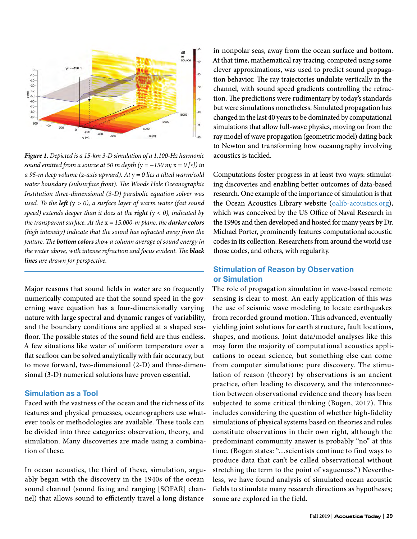

*Figure 1. Depicted is a 15-km 3-D simulation of a 1,100-Hz harmonic sound emitted from a source at 50 m depth (*y *= −150 m;* x *= 0 [\*]) in a 95-m deep volume (z-axis upward). At* y *= 0 lies a tilted warm/cold water boundary (subsurface front). The Woods Hole Oceanographic Institution three-dimensional (3-D) parabolic equation solver was used. To the left (*y *> 0), a surface layer of warm water (fast sound speed) extends deeper than it does at the right (*y *< 0), indicated by the transparent surface. At the* x *= 15,000-m plane, the darker colors (high intensity) indicate that the sound has refracted away from the feature. The bottom colors show a column average of sound energy in the water above, with intense refraction and focus evident. The black lines are drawn for perspective.*

Major reasons that sound fields in water are so frequently numerically computed are that the sound speed in the governing wave equation has a four-dimensionally varying nature with large spectral and dynamic ranges of variability, and the boundary conditions are applied at a shaped seafloor. The possible states of the sound field are thus endless. A few situations like water of uniform temperature over a flat seafloor can be solved analytically with fair accuracy, but to move forward, two-dimensional (2-D) and three-dimensional (3-D) numerical solutions have proven essential.

## **Simulation as a Tool**

Faced with the vastness of the ocean and the richness of its features and physical processes, oceanographers use whatever tools or methodologies are available. These tools can be divided into three categories: observation, theory, and simulation. Many discoveries are made using a combination of these.

In ocean acoustics, the third of these, simulation, arguably began with the discovery in the 1940s of the ocean sound channel (sound fixing and ranging [SOFAR] channel) that allows sound to efficiently travel a long distance

in nonpolar seas, away from the ocean surface and bottom. At that time, mathematical ray tracing, computed using some clever approximations, was used to predict sound propagation behavior. The ray trajectories undulate vertically in the channel, with sound speed gradients controlling the refraction. The predictions were rudimentary by today's standards but were simulations nonetheless. Simulated propagation has changed in the last 40 years to be dominated by computational simulations that allow full-wave physics, moving on from the ray model of wave propagation (geometric model) dating back to Newton and transforming how oceanography involving acoustics is tackled.

Computations foster progress in at least two ways: stimulating discoveries and enabling better outcomes of data-based research. One example of the importance of simulation is that the Ocean Acoustics Library website ([oalib-acoustics.org](http://oalib-acoustics.org)), which was conceived by the US Office of Naval Research in the 1990s and then developed and hosted for many years by Dr. Michael Porter, prominently features computational acoustic codes in its collection. Researchers from around the world use those codes, and others, with regularity.

## **Stimulation of Reason by Observation or Simulation**

The role of propagation simulation in wave-based remote sensing is clear to most. An early application of this was the use of seismic wave modeling to locate earthquakes from recorded ground motion. This advanced, eventually yielding joint solutions for earth structure, fault locations, shapes, and motions. Joint data/model analyses like this may form the majority of computational acoustics applications to ocean science, but something else can come from computer simulations: pure discovery. The stimulation of reason (theory) by observations is an ancient practice, often leading to discovery, and the interconnection between observational evidence and theory has been subjected to some critical thinking (Bogen, 2017). This includes considering the question of whether high-fidelity simulations of physical systems based on theories and rules constitute observations in their own right, although the predominant community answer is probably "no" at this time. (Bogen states: "…scientists continue to find ways to produce data that can't be called observational without stretching the term to the point of vagueness.") Nevertheless, we have found analysis of simulated ocean acoustic fields to stimulate many research directions as hypotheses; some are explored in the field.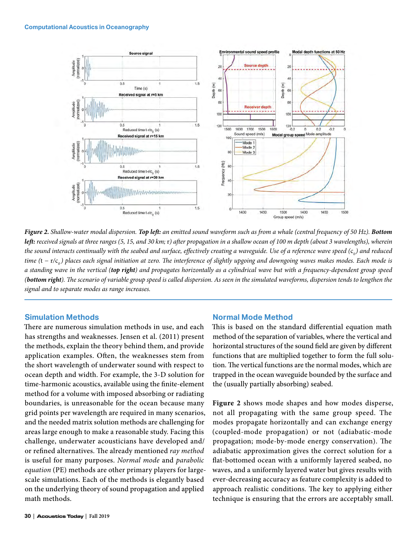

*Figure 2. Shallow-water modal dispersion. Top left: an emitted sound waveform such as from a whale (central frequency of 50 Hz). Bottom left: received signals at three ranges (5, 15, and 30 km;* r*) after propagation in a shallow ocean of 100 m depth (about 3 wavelengths), wherein the sound interacts continually with the seabed and surface, effectively creating a waveguide. Use of a reference wave speed*  $(c_0)$  *and reduced time (*t *−* r*/*c*<sup>0</sup> ) places each signal initiation at zero. The interference of slightly upgoing and downgoing waves makes modes. Each mode is a standing wave in the vertical (top right) and propagates horizontally as a cylindrical wave but with a frequency-dependent group speed (bottom right). The scenario of variable group speed is called dispersion. As seen in the simulated waveforms, dispersion tends to lengthen the signal and to separate modes as range increases.*

## **Simulation Methods**

There are numerous simulation methods in use, and each has strengths and weaknesses. Jensen et al. (2011) present the methods, explain the theory behind them, and provide application examples. Often, the weaknesses stem from the short wavelength of underwater sound with respect to ocean depth and width. For example, the 3-D solution for time-harmonic acoustics, available using the finite-element method for a volume with imposed absorbing or radiating boundaries, is unreasonable for the ocean because many grid points per wavelength are required in many scenarios, and the needed matrix solution methods are challenging for areas large enough to make a reasonable study. Facing this challenge, underwater acousticians have developed and/ or refined alternatives. The already mentioned *ray method* is useful for many purposes. *Normal mode* and *parabolic equation* (PE) methods are other primary players for largescale simulations. Each of the methods is elegantly based on the underlying theory of sound propagation and applied math methods.

#### **Normal Mode Method**

This is based on the standard differential equation math method of the separation of variables, where the vertical and horizontal structures of the sound field are given by different functions that are multiplied together to form the full solution. The vertical functions are the normal modes, which are trapped in the ocean waveguide bounded by the surface and the (usually partially absorbing) seabed.

**Figure 2** shows mode shapes and how modes disperse, not all propagating with the same group speed. The modes propagate horizontally and can exchange energy (coupled-mode propagation) or not (adiabatic-mode propagation; mode-by-mode energy conservation). The adiabatic approximation gives the correct solution for a flat-bottomed ocean with a uniformly layered seabed, no waves, and a uniformly layered water but gives results with ever-decreasing accuracy as feature complexity is added to approach realistic conditions. The key to applying either technique is ensuring that the errors are acceptably small.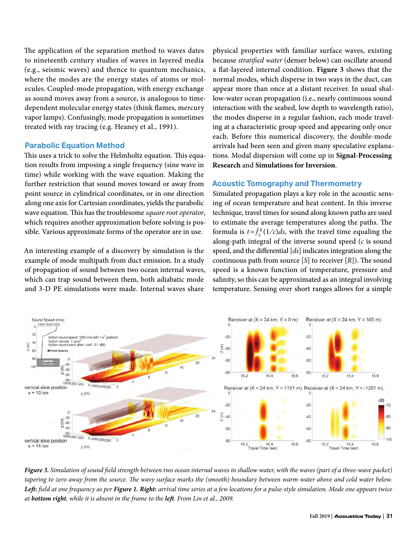The application of the separation method to waves dates to nineteenth century studies of waves in layered media (e.g., seismic waves) and thence to quantum mechanics, where the modes are the energy states of atoms or molecules. Coupled-mode propagation, with energy exchange as sound moves away from a source, is analogous to timedependent molecular energy states (think flames, mercury vapor lamps). Confusingly, mode propagation is sometimes treated with ray tracing (e.g. Heaney et al., 1991).

#### **Parabolic Equation Method**

This uses a trick to solve the Helmholtz equation. This equation results from imposing a single frequency (sine wave in time) while working with the wave equation. Making the further restriction that sound moves toward or away from point source in cylindrical coordinates, or in one direction along one axis for Cartesian coordinates, yields the parabolic wave equation. This has the troublesome *square root operator*, which requires another approximation before solving is possible. Various approximate forms of the operator are in use.

An interesting example of a discovery by simulation is the example of mode multipath from duct emission. In a study of propagation of sound between two ocean internal waves, which can trap sound between them, both adiabatic mode and 3-D PE simulations were made. Internal waves share

physical properties with familiar surface waves, existing because *stratified water* (denser below) can oscillate around a flat-layered internal condition. **Figure 3** shows that the normal modes, which disperse in two ways in the duct, can appear more than once at a distant receiver. In usual shallow-water ocean propagation (i.e., nearly continuous sound interaction with the seabed, low depth to wavelength ratio), the modes disperse in a regular fashion, each mode traveling at a characteristic group speed and appearing only once each. Before this numerical discovery, the double-mode arrivals had been seen and given many speculative explanations. Modal dispersion will come up in **Signal-Processing Research** and **Simulations for Inversion**.

#### **Acoustic Tomography and Thermometry**

Simulated propagation plays a key role in the acoustic sensing of ocean temperature and heat content. In this inverse technique, travel times for sound along known paths are used to estimate the average temperatures along the paths. The formula is  $t = \int_S^R (1/c) ds$ , with the travel time equaling the along-path integral of the inverse sound speed (*c* is sound speed, and the differential [*ds*] indicates integration along the continuous path from source [*S*] to receiver [*R*]). The sound speed is a known function of temperature, pressure and salinity, so this can be approximated as an integral involving temperature. Sensing over short ranges allows for a simple



*Figure 3. Simulation of sound field strength between two ocean internal waves in shallow water, with the waves (part of a three-wave packet) tapering to zero away from the source. The wavy surface marks the (smooth) boundary between warm water above and cold water below. Left: field at one frequency as per Figure 1. Right: arrival time series at a few locations for a pulse-style simulation. Mode one appears twice at bottom right, while it is absent in the frame to the left. From Lin et al., 2009.*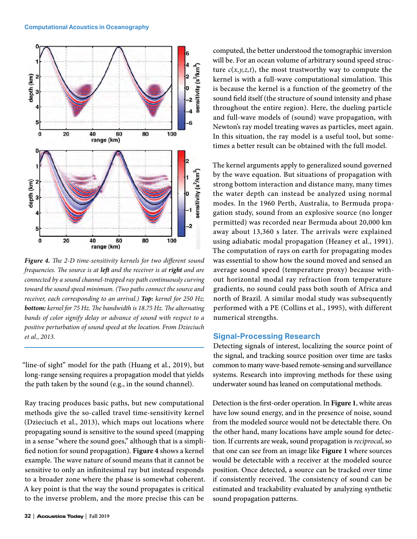

*Figure 4. The 2-D time-sensitivity kernels for two different sound frequencies. The source is at left and the receiver is at right and are connected by a sound channel-trapped ray path continuously curving toward the sound speed minimum. (Two paths connect the source and receiver, each corresponding to an arrival.) Top: kernel for 250 Hz; bottom: kernel for 75 Hz. The bandwidth is 18.75 Hz. The alternating bands of color signify delay or advance of sound with respect to a positive perturbation of sound speed at the location. From Dzieciuch et al., 2013.*

"line-of sight" model for the path (Huang et al., 2019), but long-range sensing requires a propagation model that yields the path taken by the sound (e.g., in the sound channel).

Ray tracing produces basic paths, but new computational methods give the so-called travel time-sensitivity kernel (Dzieciuch et al., 2013), which maps out locations where propagating sound is sensitive to the sound speed (mapping in a sense "where the sound goes," although that is a simplified notion for sound propagation). **Figure 4** shows a kernel example. The wave nature of sound means that it cannot be sensitive to only an infinitesimal ray but instead responds to a broader zone where the phase is somewhat coherent. A key point is that the way the sound propagates is critical to the inverse problem, and the more precise this can be

computed, the better understood the tomographic inversion will be. For an ocean volume of arbitrary sound speed structure  $c(x, y, z, t)$ , the most trustworthy way to compute the kernel is with a full-wave computational simulation. This is because the kernel is a function of the geometry of the sound field itself (the structure of sound intensity and phase throughout the entire region). Here, the dueling particle and full-wave models of (sound) wave propagation, with Newton's ray model treating waves as particles, meet again. In this situation, the ray model is a useful tool, but sometimes a better result can be obtained with the full model.

The kernel arguments apply to generalized sound governed by the wave equation. But situations of propagation with strong bottom interaction and distance many, many times the water depth can instead be analyzed using normal modes. In the 1960 Perth, Australia, to Bermuda propagation study, sound from an explosive source (no longer permitted) was recorded near Bermuda about 20,000 km away about 13,360 s later. The arrivals were explained using adiabatic modal propagation (Heaney et al., 1991). The computation of rays on earth for propagating modes was essential to show how the sound moved and sensed an average sound speed (temperature proxy) because without horizontal modal ray refraction from temperature gradients, no sound could pass both south of Africa and north of Brazil. A similar modal study was subsequently performed with a PE (Collins et al., 1995), with different numerical strengths.

### **Signal-Processing Research**

Detecting signals of interest, localizing the source point of the signal, and tracking source position over time are tasks common to many wave-based remote-sensing and surveillance systems. Research into improving methods for these using underwater sound has leaned on computational methods.

Detection is the first-order operation. In **Figure 1**, white areas have low sound energy, and in the presence of noise, sound from the modeled source would not be detectable there. On the other hand, many locations have ample sound for detection. If currents are weak, sound propagation is *reciprocal*, so that one can see from an image like **Figure 1** where sources would be detectable with a receiver at the modeled source position. Once detected, a source can be tracked over time if consistently received. The consistency of sound can be estimated and trackability evaluated by analyzing synthetic sound propagation patterns.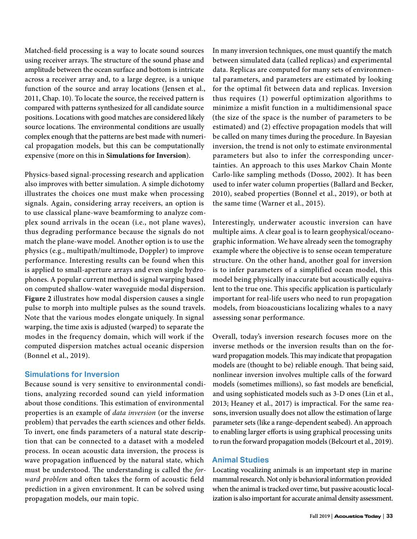Matched-field processing is a way to locate sound sources using receiver arrays. The structure of the sound phase and amplitude between the ocean surface and bottom is intricate across a receiver array and, to a large degree, is a unique function of the source and array locations (Jensen et al., 2011, Chap. 10). To locate the source, the received pattern is compared with patterns synthesized for all candidate source positions. Locations with good matches are considered likely source locations. The environmental conditions are usually complex enough that the patterns are best made with numerical propagation models, but this can be computationally expensive (more on this in **Simulations for Inversion**).

Physics-based signal-processing research and application also improves with better simulation. A simple dichotomy illustrates the choices one must make when processing signals. Again, considering array receivers, an option is to use classical plane-wave beamforming to analyze complex sound arrivals in the ocean (i.e., not plane waves), thus degrading performance because the signals do not match the plane-wave model. Another option is to use the physics (e.g., multipath/multimode, Doppler) to improve performance. Interesting results can be found when this is applied to small-aperture arrays and even single hydrophones. A popular current method is signal warping based on computed shallow-water waveguide modal dispersion. **Figure 2** illustrates how modal dispersion causes a single pulse to morph into multiple pulses as the sound travels. Note that the various modes elongate uniquely. In signal warping, the time axis is adjusted (warped) to separate the modes in the frequency domain, which will work if the computed dispersion matches actual oceanic dispersion (Bonnel et al., 2019).

## **Simulations for Inversion**

Because sound is very sensitive to environmental conditions, analyzing recorded sound can yield information about those conditions. This estimation of environmental properties is an example of *data inversion* (or the inverse problem) that pervades the earth sciences and other fields. To invert, one finds parameters of a natural state description that can be connected to a dataset with a modeled process. In ocean acoustic data inversion, the process is wave propagation influenced by the natural state, which must be understood. The understanding is called the *forward problem* and often takes the form of acoustic field prediction in a given environment. It can be solved using propagation models, our main topic.

In many inversion techniques, one must quantify the match between simulated data (called replicas) and experimental data. Replicas are computed for many sets of environmental parameters, and parameters are estimated by looking for the optimal fit between data and replicas. Inversion thus requires (1) powerful optimization algorithms to minimize a misfit function in a multidimensional space (the size of the space is the number of parameters to be estimated) and (2) effective propagation models that will be called on many times during the procedure. In Bayesian inversion, the trend is not only to estimate environmental parameters but also to infer the corresponding uncertainties. An approach to this uses Markov Chain Monte Carlo-like sampling methods (Dosso, 2002). It has been used to infer water column properties (Ballard and Becker, 2010), seabed properties (Bonnel et al., 2019), or both at the same time (Warner et al., 2015).

Interestingly, underwater acoustic inversion can have multiple aims. A clear goal is to learn geophysical/oceanographic information. We have already seen the tomography example where the objective is to sense ocean temperature structure. On the other hand, another goal for inversion is to infer parameters of a simplified ocean model, this model being physically inaccurate but acoustically equivalent to the true one. This specific application is particularly important for real-life users who need to run propagation models, from bioacousticians localizing whales to a navy assessing sonar performance.

Overall, today's inversion research focuses more on the inverse methods or the inversion results than on the forward propagation models. This may indicate that propagation models are (thought to be) reliable enough. That being said, nonlinear inversion involves multiple calls of the forward models (sometimes millions), so fast models are beneficial, and using sophisticated models such as 3-D ones (Lin et al., 2013; Heaney et al., 2017) is impractical. For the same reasons, inversion usually does not allow the estimation of large parameter sets (like a range-dependent seabed). An approach to enabling larger efforts is using graphical processing units to run the forward propagation models (Belcourt et al., 2019).

#### **Animal Studies**

Locating vocalizing animals is an important step in marine mammal research. Not only is behavioral information provided when the animal is tracked over time, but passive acoustic localization is also important for accurate animal density assessment.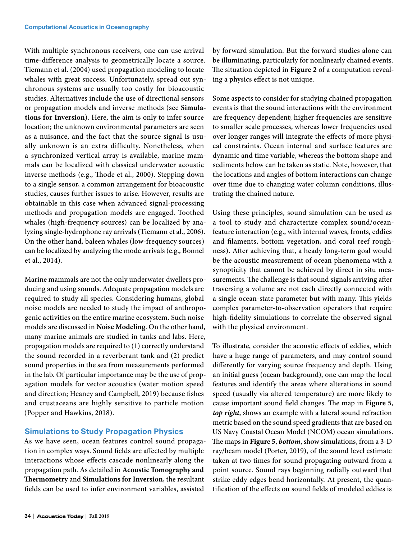With multiple synchronous receivers, one can use arrival time-difference analysis to geometrically locate a source. Tiemann et al. (2004) used propagation modeling to locate whales with great success. Unfortunately, spread out synchronous systems are usually too costly for bioacoustic studies. Alternatives include the use of directional sensors or propagation models and inverse methods (see **Simulations for Inversion**). Here, the aim is only to infer source location; the unknown environmental parameters are seen as a nuisance, and the fact that the source signal is usually unknown is an extra difficulty. Nonetheless, when a synchronized vertical array is available, marine mammals can be localized with classical underwater acoustic inverse methods (e.g., Thode et al., 2000). Stepping down to a single sensor, a common arrangement for bioacoustic studies, causes further issues to arise. However, results are obtainable in this case when advanced signal-processing methods and propagation models are engaged. Toothed whales (high-frequency sources) can be localized by analyzing single-hydrophone ray arrivals (Tiemann et al., 2006). On the other hand, baleen whales (low-frequency sources) can be localized by analyzing the mode arrivals (e.g., Bonnel et al., 2014).

Marine mammals are not the only underwater dwellers producing and using sounds. Adequate propagation models are required to study all species. Considering humans, global noise models are needed to study the impact of anthropogenic activities on the entire marine ecosystem. Such noise models are discussed in **Noise Modeling**. On the other hand, many marine animals are studied in tanks and labs. Here, propagation models are required to (1) correctly understand the sound recorded in a reverberant tank and (2) predict sound properties in the sea from measurements performed in the lab. Of particular importance may be the use of propagation models for vector acoustics (water motion speed and direction; Heaney and Campbell, 2019) because fishes and crustaceans are highly sensitive to particle motion (Popper and Hawkins, 2018).

## **Simulations to Study Propagation Physics**

As we have seen, ocean features control sound propagation in complex ways. Sound fields are affected by multiple interactions whose effects cascade nonlinearly along the propagation path. As detailed in **Acoustic Tomography and Thermometry** and **Simulations for Inversion**, the resultant fields can be used to infer environment variables, assisted

by forward simulation. But the forward studies alone can be illuminating, particularly for nonlinearly chained events. The situation depicted in **Figure 2** of a computation revealing a physics effect is not unique.

Some aspects to consider for studying chained propagation events is that the sound interactions with the environment are frequency dependent; higher frequencies are sensitive to smaller scale processes, whereas lower frequencies used over longer ranges will integrate the effects of more physical constraints. Ocean internal and surface features are dynamic and time variable, whereas the bottom shape and sediments below can be taken as static. Note, however, that the locations and angles of bottom interactions can change over time due to changing water column conditions, illustrating the chained nature.

Using these principles, sound simulation can be used as a tool to study and characterize complex sound/oceanfeature interaction (e.g., with internal waves, fronts, eddies and filaments, bottom vegetation, and coral reef roughness). After achieving that, a heady long-term goal would be the acoustic measurement of ocean phenomena with a synopticity that cannot be achieved by direct in situ measurements. The challenge is that sound signals arriving after traversing a volume are not each directly connected with a single ocean-state parameter but with many. This yields complex parameter-to-observation operators that require high-fidelity simulations to correlate the observed signal with the physical environment.

To illustrate, consider the acoustic effects of eddies, which have a huge range of parameters, and may control sound differently for varying source frequency and depth. Using an initial guess (ocean background), one can map the local features and identify the areas where alterations in sound speed (usually via altered temperature) are more likely to cause important sound field changes. The map in **Figure 5**, *top right*, shows an example with a lateral sound refraction metric based on the sound speed gradients that are based on US Navy Coastal Ocean Model (NCOM) ocean simulations. The maps in **Figure 5**, *bottom*, show simulations, from a 3-D ray/beam model (Porter, 2019), of the sound level estimate taken at two times for sound propagating outward from a point source. Sound rays beginning radially outward that strike eddy edges bend horizontally. At present, the quantification of the effects on sound fields of modeled eddies is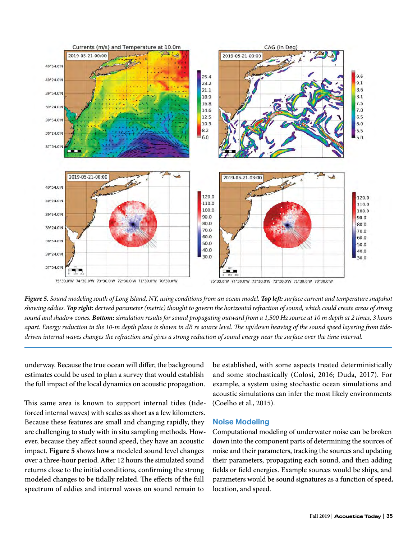

*Figure 5. Sound modeling south of Long Island, NY, using conditions from an ocean model. Top left: surface current and temperature snapshot showing eddies. Top right: derived parameter (metric) thought to govern the horizontal refraction of sound, which could create areas of strong sound and shadow zones. Bottom: simulation results for sound propagating outward from a 1,500 Hz source at 10 m depth at 2 times, 3 hours apart. Energy reduction in the 10-m depth plane is shown in dB re source level. The up/down heaving of the sound speed layering from tidedriven internal waves changes the refraction and gives a strong reduction of sound energy near the surface over the time interval.*

underway. Because the true ocean will differ, the background estimates could be used to plan a survey that would establish the full impact of the local dynamics on acoustic propagation.

This same area is known to support internal tides (tideforced internal waves) with scales as short as a few kilometers. Because these features are small and changing rapidly, they are challenging to study with in situ sampling methods. However, because they affect sound speed, they have an acoustic impact. **Figure 5** shows how a modeled sound level changes over a three-hour period. After 12 hours the simulated sound returns close to the initial conditions, confirming the strong modeled changes to be tidally related. The effects of the full spectrum of eddies and internal waves on sound remain to

be established, with some aspects treated deterministically and some stochastically (Colosi, 2016; Duda, 2017). For example, a system using stochastic ocean simulations and acoustic simulations can infer the most likely environments (Coelho et al., 2015).

#### **Noise Modeling**

Computational modeling of underwater noise can be broken down into the component parts of determining the sources of noise and their parameters, tracking the sources and updating their parameters, propagating each sound, and then adding fields or field energies. Example sources would be ships, and parameters would be sound signatures as a function of speed, location, and speed.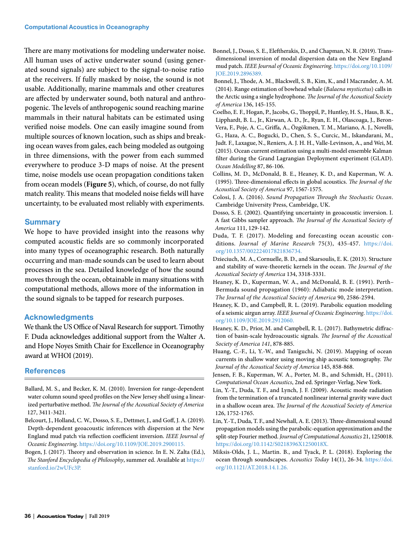There are many motivations for modeling underwater noise. All human uses of active underwater sound (using generated sound signals) are subject to the signal-to-noise ratio at the receivers. If fully masked by noise, the sound is not usable. Additionally, marine mammals and other creatures are affected by underwater sound, both natural and anthropogenic. The levels of anthropogenic sound reaching marine mammals in their natural habitats can be estimated using verified noise models. One can easily imagine sound from multiple sources of known location, such as ships and breaking ocean waves from gales, each being modeled as outgoing in three dimensions, with the power from each summed everywhere to produce 3-D maps of noise. At the present time, noise models use ocean propagation conditions taken from ocean models (**Figure 5**), which, of course, do not fully match reality. This means that modeled noise fields will have uncertainty, to be evaluated most reliably with experiments.

#### **Summary**

We hope to have provided insight into the reasons why computed acoustic fields are so commonly incorporated into many types of oceanographic research. Both naturally occurring and man-made sounds can be used to learn about processes in the sea. Detailed knowledge of how the sound moves through the ocean, obtainable in many situations with computational methods, allows more of the information in the sound signals to be tapped for research purposes.

#### **Acknowledgments**

We thank the US Office of Naval Research for support. Timothy F. Duda acknowledges additional support from the Walter A. and Hope Noyes Smith Chair for Excellence in Oceanography award at WHOI (2019).

#### **References**

- Ballard, M. S., and Becker, K. M. (2010). Inversion for range-dependent water column sound speed profiles on the New Jersey shelf using a linearized perturbative method. *The Journal of the Acoustical Society of America*  127, 3411-3421.
- Belcourt, J., Holland, C. W., Dosso, S. E., Dettmer, J., and Goff, J. A. (2019). Depth-dependent geoacoustic inferences with dispersion at the New England mud patch via reflection coefficient inversion. *IEEE Journal of Oceanic Engineering*. [https://doi.org/10.1109/JOE.2019.2900115.](https://doi.org/10.1109/JOE.2019.2900115)
- Bogen, J. (2017). Theory and observation in science. In E. N. Zalta (Ed.), *The Stanford Encyclopedia of Philosophy*, summer ed. Available at [https://](https://stanford.io/2wUFc3P) [stanford.io/2wUFc3P.](https://stanford.io/2wUFc3P)
- Bonnel, J., Dosso, S. E., Eleftherakis, D., and Chapman, N. R. (2019). Transdimensional inversion of modal dispersion data on the New England mud patch. *IEEE Journal of Oceanic Engineering*. [https://doi.org/10.1109/](https://doi.org/10.1109/JOE.2019.2896389) [JOE.2019.2896389.](https://doi.org/10.1109/JOE.2019.2896389)
- Bonnel, J., Thode, A. M., Blackwell, S. B., Kim, K., and l Macrander, A. M. (2014). Range estimation of bowhead whale (*Balaena mysticetus*) calls in the Arctic using a single hydrophone. *The Journal of the Acoustical Society of America* 136, 145-155.
- Coelho, E. F., Hogan, P., Jacobs, G., Thoppil, P., Huntley, H. S., Haus, B. K., Lipphardt, B. L., Jr., Kirwan, A. D., Jr., Ryan, E. H., Olascoaga, J., Beron-Vera, F., Poje, A. C., Griffa, A., Özgökmen, T. M., Mariano, A. J., Novelli, G., Haza, A. C., Bogucki, D., Chen, S. S., Curcic, M., Iskandarani, M., Judt. F., Laxague, N., Reniers, A. J. H. H., Valle-Levinson, A., and Wei, M. (2015). Ocean current estimation using a multi-model ensemble Kalman filter during the Grand Lagrangian Deployment experiment (GLAD). *Ocean Modelling* 87, 86-106.
- Collins, M. D., McDonald, B. E., Heaney, K. D., and Kuperman, W. A. (1995). Three‐dimensional effects in global acoustics. *The Journal of the Acoustical Society of America* 97, 1567-1575.
- Colosi, J. A. (2016). *Sound Propagation Through the Stochastic Ocean*. Cambridge University Press, Cambridge, UK.
- Dosso, S. E. (2002). Quantifying uncertainty in geoacoustic inversion. I. A fast Gibbs sampler approach. *The Journal of the Acoustical Society of America* 111, 129-142.
- Duda, T. F. (2017). Modeling and forecasting ocean acoustic conditions. *Journal of Marine Research* 75(3), 435-457. [https://doi.](https://doi.org/10.1357/002224017821836734) [org/10.1357/002224017821836734.](https://doi.org/10.1357/002224017821836734)
- Dzieciuch, M. A., Cornuelle, B. D., and Skarsoulis, E. K. (2013). Structure and stability of wave-theoretic kernels in the ocean. *The Journal of the Acoustical Society of America* 134, 3318-3331.
- Heaney, K. D., Kuperman, W. A., and McDonald, B. E. (1991). Perth– Bermuda sound propagation (1960): Adiabatic mode interpretation. *The Journal of the Acoustical Society of America* 90, 2586-2594.
- Heaney, K. D., and Campbell, R. L. (2019). Parabolic equation modeling of a seismic airgun array. *IEEE Journal of Oceanic Engineering*. [https://doi.](https://doi.org/10.1109/JOE.2019.2912060) [org/10.1109/JOE.2019.2912060.](https://doi.org/10.1109/JOE.2019.2912060)
- Heaney, K. D., Prior, M. and Campbell, R. L. (2017). Bathymetric diffraction of basin-scale hydroacoustic signals. *The Journal of the Acoustical Society of America 141*, 878-885.
- Huang, C.-F., Li, Y.-W., and Taniguchi, N. (2019). Mapping of ocean currents in shallow water using moving ship acoustic tomography. *The Journal of the Acoustical Society of America* 145, 858-868.
- Jensen, F. B., Kuperman, W. A., Porter, M. B., and Schmidt, H., (2011). *Computational Ocean Acoustics*, 2nd ed. Springer-Verlag, New York.
- Lin, Y.-T., Duda, T. F., and Lynch, J. F. (2009). Acoustic mode radiation from the termination of a truncated nonlinear internal gravity wave duct in a shallow ocean area. *The Journal of the Acoustical Society of America* 126, 1752-1765.
- Lin, Y.-T., Duda, T. F., and Newhall, A. E. (2013). Three-dimensional sound propagation models using the parabolic-equation approximation and the split-step Fourier method. *Journal of Computational Acoustics* 21, 1250018. [https://doi.org/10.1142/S0218396X1250018X.](https://doi.org/10.1142/S0218396X1250018X)
- Miksis-Olds, J. L., Martin. B., and Tyack, P. L. (2018). Exploring the ocean through soundscapes. *Acoustics Today* 14(1), 26-34. [https://doi.](https://doi.org/10.1121/AT.2018.14.1.26) [org/10.1121/AT.2018.14.1.26.](https://doi.org/10.1121/AT.2018.14.1.26)